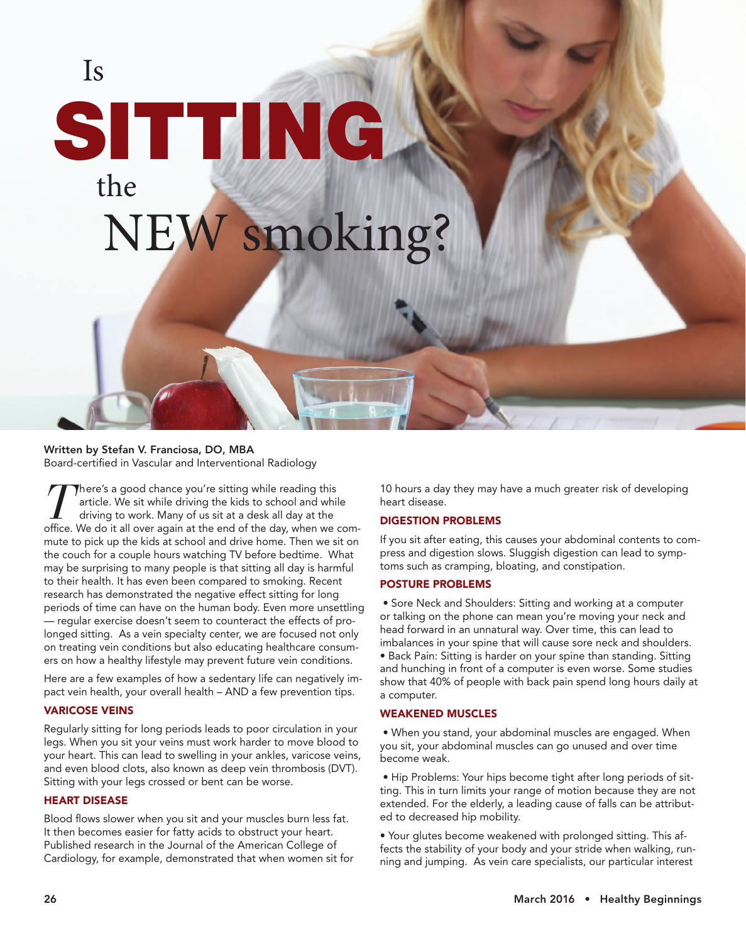# Is SITTING the NEW smoking?

### Written by Stefan V. Franciosa, DO, MBA

Board-certified in Vascular and Interventional Radiology

*T*here's a good chance you're sitting while reading this article. We sit while driving the kids to school and while driving to work. Many of us sit at a desk all day at the office. We do it all over again at the end of the day, when we commute to pick up the kids at school and drive home. Then we sit on the couch for a couple hours watching TV before bedtime. What may be surprising to many people is that sitting all day is harmful to their health. It has even been compared to smoking. Recent research has demonstrated the negative effect sitting for long periods of time can have on the human body. Even more unsettling — regular exercise doesn't seem to counteract the effects of prolonged sitting. As a vein specialty center, we are focused not only on treating vein conditions but also educating healthcare consumers on how a healthy lifestyle may prevent future vein conditions.

Here are a few examples of how a sedentary life can negatively impact vein health, your overall health – AND a few prevention tips.

#### VARICOSE VEINS

Regularly sitting for long periods leads to poor circulation in your legs. When you sit your veins must work harder to move blood to your heart. This can lead to swelling in your ankles, varicose veins, and even blood clots, also known as deep vein thrombosis (DVT). Sitting with your legs crossed or bent can be worse.

#### HEART DISEASE

Blood flows slower when you sit and your muscles burn less fat. It then becomes easier for fatty acids to obstruct your heart. Published research in the Journal of the American College of Cardiology, for example, demonstrated that when women sit for 10 hours a day they may have a much greater risk of developing heart disease.

#### DIGESTION PROBLEMS

If you sit after eating, this causes your abdominal contents to compress and digestion slows. Sluggish digestion can lead to symptoms such as cramping, bloating, and constipation.

#### POSTURE PROBLEMS

 • Sore Neck and Shoulders: Sitting and working at a computer or talking on the phone can mean you're moving your neck and head forward in an unnatural way. Over time, this can lead to imbalances in your spine that will cause sore neck and shoulders.

• Back Pain: Sitting is harder on your spine than standing. Sitting and hunching in front of a computer is even worse. Some studies show that 40% of people with back pain spend long hours daily at a computer.

#### WEAKENED MUSCLES

 • When you stand, your abdominal muscles are engaged. When you sit, your abdominal muscles can go unused and over time become weak.

 • Hip Problems: Your hips become tight after long periods of sitting. This in turn limits your range of motion because they are not extended. For the elderly, a leading cause of falls can be attributed to decreased hip mobility.

• Your glutes become weakened with prolonged sitting. This affects the stability of your body and your stride when walking, running and jumping. As vein care specialists, our particular interest